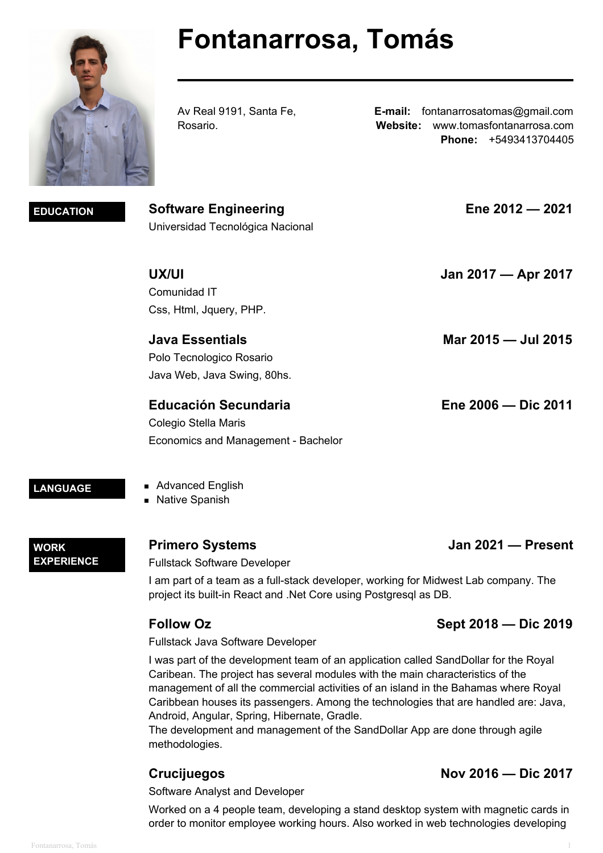# **Fontanarrosa, Tomás**

Av Real 9191, Santa Fe, Rosario.

**E-mail:** fontanarrosatomas@gmail.com **Website:** www.tomasfontanarrosa.com **Phone:** +5493413704405

**EDUCATION Software Engineering Ene 2012 — 2021** Universidad Tecnológica Nacional

**UX/UI Jan 2017 — Apr 2017**

**Educación Secundaria Ene 2006 — Dic 2011**

Colegio Stella Maris Economics and Management - Bachelor

LANGUAGE **Advanced English Native Spanish** 

Comunidad IT

Css, Html, Jquery, PHP.

Polo Tecnologico Rosario Java Web, Java Swing, 80hs.

**WORK EXPERIENCE**

## **Primero Systems Jan 2021 — Present**

Fullstack Software Developer

I am part of a team as a full-stack developer, working for Midwest Lab company. The project its built-in React and .Net Core using Postgresql as DB.

**Java Essentials Mar 2015 — Jul 2015**

# **Follow Oz Sept 2018 — Dic 2019**

Fullstack Java Software Developer

I was part of the development team of an application called SandDollar for the Royal Caribean. The project has several modules with the main characteristics of the management of all the commercial activities of an island in the Bahamas where Royal Caribbean houses its passengers. Among the technologies that are handled are: Java, Android, Angular, Spring, Hibernate, Gradle.

The development and management of the SandDollar App are done through agile methodologies.

# **Crucijuegos Nov 2016 — Dic 2017**

Software Analyst and Developer

Worked on a 4 people team, developing a stand desktop system with magnetic cards in order to monitor employee working hours. Also worked in web technologies developing